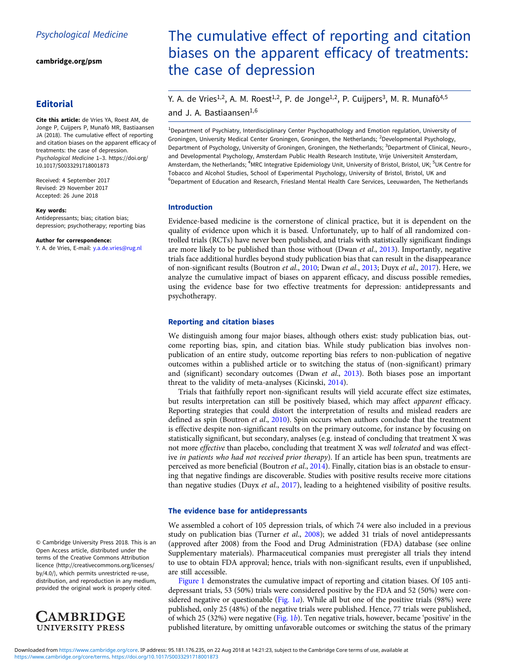cambridge.org/psm

# **Editorial**

Cite this article: de Vries YA, Roest AM, de Jonge P, Cuijpers P, Munafò MR, Bastiaansen JA (2018). The cumulative effect of reporting and citation biases on the apparent efficacy of treatments: the case of depression. Psychological Medicine 1–3. https://doi.org/ 10.1017/S0033291718001873

Received: 4 September 2017 Revised: 29 November 2017 Accepted: 26 June 2018

#### Key words:

Antidepressants; bias; citation bias; depression; psychotherapy; reporting bias

Author for correspondence:

Y. A. de Vries, E-mail: y.a.de.vries@rug.nl

#### © Cambridge University Press 2018. This is an Open Access article, distributed under the terms of the Creative Commons Attribution licence (http://creativecommons.org/licenses/ by/4.0/), which permits unrestricted re-use, distribution, and reproduction in any medium, provided the original work is properly cited.



# The cumulative effect of reporting and citation biases on the apparent efficacy of treatments: the case of depression

# Y. A. de Vries<sup>1,2</sup>, A. M. Roest<sup>1,2</sup>, P. de Jonge<sup>1,2</sup>, P. Cuijpers<sup>3</sup>, M. R. Munafò<sup>4,5</sup> and J. A. Bastiaansen1,6

<sup>1</sup>Department of Psychiatry, Interdisciplinary Center Psychopathology and Emotion regulation, University of Groningen, University Medical Center Groningen, Groningen, the Netherlands; <sup>2</sup>Developmental Psychology, Department of Psychology, University of Groningen, Groningen, the Netherlands; <sup>3</sup>Department of Clinical, Neuroand Developmental Psychology, Amsterdam Public Health Research Institute, Vrije Universiteit Amsterdam, Amsterdam, the Netherlands; <sup>4</sup>MRC Integrative Epidemiology Unit, University of Bristol, Bristol, UK; <sup>5</sup>UK Centre for Tobacco and Alcohol Studies, School of Experimental Psychology, University of Bristol, Bristol, UK and <sup>6</sup>Department of Education and Research, Friesland Mental Health Care Services, Leeuwarden, The Netherlands

#### Introduction

Evidence-based medicine is the cornerstone of clinical practice, but it is dependent on the quality of evidence upon which it is based. Unfortunately, up to half of all randomized controlled trials (RCTs) have never been published, and trials with statistically significant findings are more likely to be published than those without (Dwan et al., 2013). Importantly, negative trials face additional hurdles beyond study publication bias that can result in the disappearance of non-significant results (Boutron et al., 2010; Dwan et al., 2013; Duyx et al., 2017). Here, we analyze the cumulative impact of biases on apparent efficacy, and discuss possible remedies, using the evidence base for two effective treatments for depression: antidepressants and psychotherapy.

#### Reporting and citation biases

We distinguish among four major biases, although others exist: study publication bias, outcome reporting bias, spin, and citation bias. While study publication bias involves nonpublication of an entire study, outcome reporting bias refers to non-publication of negative outcomes within a published article or to switching the status of (non-significant) primary and (significant) secondary outcomes (Dwan et al., 2013). Both biases pose an important threat to the validity of meta-analyses (Kicinski, 2014).

Trials that faithfully report non-significant results will yield accurate effect size estimates, but results interpretation can still be positively biased, which may affect apparent efficacy. Reporting strategies that could distort the interpretation of results and mislead readers are defined as spin (Boutron et al., 2010). Spin occurs when authors conclude that the treatment is effective despite non-significant results on the primary outcome, for instance by focusing on statistically significant, but secondary, analyses (e.g. instead of concluding that treatment X was not more effective than placebo, concluding that treatment X was well tolerated and was effective in patients who had not received prior therapy). If an article has been spun, treatments are perceived as more beneficial (Boutron et al., 2014). Finally, citation bias is an obstacle to ensuring that negative findings are discoverable. Studies with positive results receive more citations than negative studies (Duyx et al., 2017), leading to a heightened visibility of positive results.

## The evidence base for antidepressants

We assembled a cohort of 105 depression trials, of which 74 were also included in a previous study on publication bias (Turner et al.,  $2008$ ); we added 31 trials of novel antidepressants (approved after 2008) from the Food and Drug Administration (FDA) database (see online Supplementary materials). Pharmaceutical companies must preregister all trials they intend to use to obtain FDA approval; hence, trials with non-significant results, even if unpublished, are still accessible.

Figure 1 demonstrates the cumulative impact of reporting and citation biases. Of 105 antidepressant trials, 53 (50%) trials were considered positive by the FDA and 52 (50%) were considered negative or questionable (Fig.  $1a$ ). While all but one of the positive trials (98%) were published, only 25 (48%) of the negative trials were published. Hence, 77 trials were published, of which 25 (32%) were negative (Fig. 1b). Ten negative trials, however, became 'positive' in the published literature, by omitting unfavorable outcomes or switching the status of the primary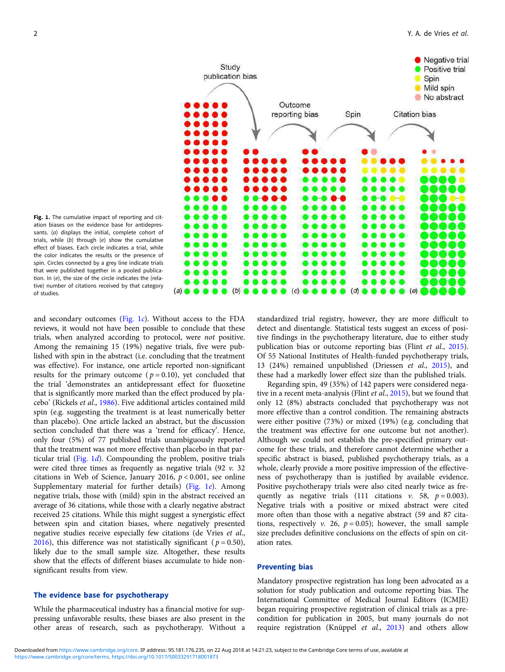



and secondary outcomes (Fig. 1c). Without access to the FDA reviews, it would not have been possible to conclude that these trials, when analyzed according to protocol, were not positive. Among the remaining 15 (19%) negative trials, five were published with spin in the abstract (i.e. concluding that the treatment was effective). For instance, one article reported non-significant results for the primary outcome ( $p = 0.10$ ), yet concluded that the trial 'demonstrates an antidepressant effect for fluoxetine that is significantly more marked than the effect produced by placebo' (Rickels et al., 1986). Five additional articles contained mild spin (e.g. suggesting the treatment is at least numerically better than placebo). One article lacked an abstract, but the discussion section concluded that there was a 'trend for efficacy'. Hence, only four (5%) of 77 published trials unambiguously reported that the treatment was not more effective than placebo in that particular trial  $(Fig, 1d)$ . Compounding the problem, positive trials were cited three times as frequently as negative trials  $(92 v. 32)$ citations in Web of Science, January 2016,  $p < 0.001$ , see online Supplementary material for further details) (Fig. 1e). Among negative trials, those with (mild) spin in the abstract received an average of 36 citations, while those with a clearly negative abstract received 25 citations. While this might suggest a synergistic effect between spin and citation biases, where negatively presented negative studies receive especially few citations (de Vries et al., 2016), this difference was not statistically significant ( $p = 0.50$ ), likely due to the small sample size. Altogether, these results show that the effects of different biases accumulate to hide nonsignificant results from view.

# The evidence base for psychotherapy

While the pharmaceutical industry has a financial motive for suppressing unfavorable results, these biases are also present in the other areas of research, such as psychotherapy. Without a standardized trial registry, however, they are more difficult to detect and disentangle. Statistical tests suggest an excess of positive findings in the psychotherapy literature, due to either study publication bias or outcome reporting bias (Flint et al., 2015). Of 55 National Institutes of Health-funded psychotherapy trials, 13 (24%) remained unpublished (Driessen et al., 2015), and these had a markedly lower effect size than the published trials.

Regarding spin, 49 (35%) of 142 papers were considered negative in a recent meta-analysis (Flint et al., 2015), but we found that only 12 (8%) abstracts concluded that psychotherapy was not more effective than a control condition. The remaining abstracts were either positive (73%) or mixed (19%) (e.g. concluding that the treatment was effective for one outcome but not another). Although we could not establish the pre-specified primary outcome for these trials, and therefore cannot determine whether a specific abstract is biased, published psychotherapy trials, as a whole, clearly provide a more positive impression of the effectiveness of psychotherapy than is justified by available evidence. Positive psychotherapy trials were also cited nearly twice as frequently as negative trials (111 citations  $v$ . 58,  $p = 0.003$ ). Negative trials with a positive or mixed abstract were cited more often than those with a negative abstract (59 and 87 citations, respectively v. 26,  $p = 0.05$ ; however, the small sample size precludes definitive conclusions on the effects of spin on citation rates.

## Preventing bias

Mandatory prospective registration has long been advocated as a solution for study publication and outcome reporting bias. The International Committee of Medical Journal Editors (ICMJE) began requiring prospective registration of clinical trials as a precondition for publication in 2005, but many journals do not require registration (Knüppel et al., 2013) and others allow